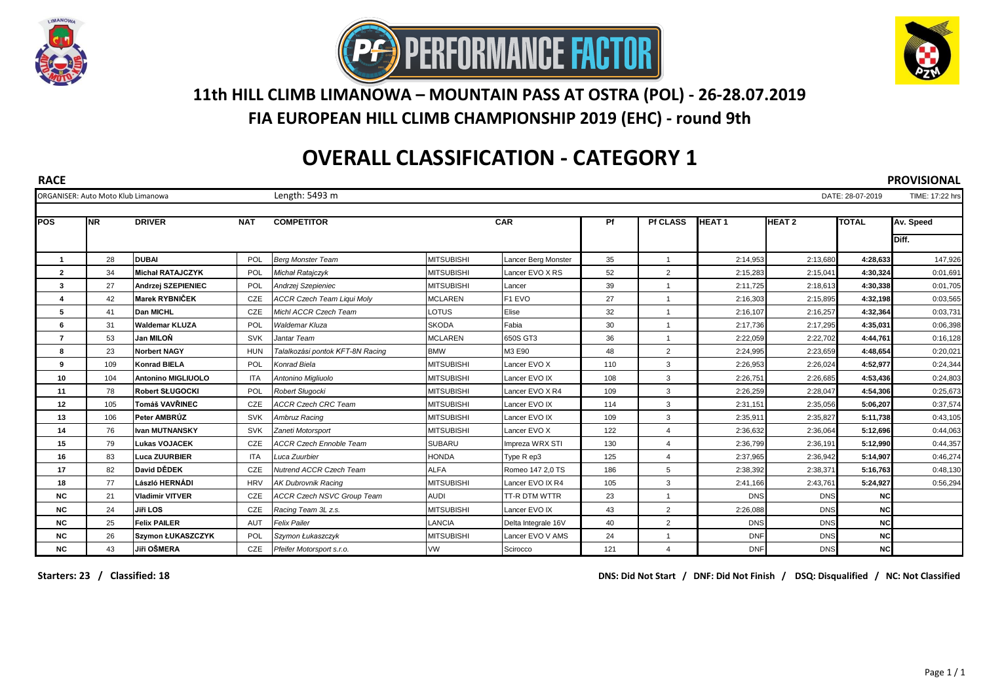





## **11th HILL CLIMB LIMANOWA – MOUNTAIN PASS AT OSTRA (POL) - 26-28.07.2019**

**FIA EUROPEAN HILL CLIMB CHAMPIONSHIP 2019 (EHC) - round 9th**

## **OVERALL CLASSIFICATION - CATEGORY 1**

**RACE PROVISIONAL** ORGANISER: Auto Moto Klub Limanowa Length: 5493 m DATE: 28-07-2019 TIME: 17:22 hrs **POS NR DRIVER NAT COMPETITOR Pf HEAT 1 HEAT 2 TOTAL Av. Speed Diff.** 28 **DUBAI** POL *Berg Monster Team* MITSUBISHI Lancer Berg Monster 35 1 2:14,953 2:13,680 **4:28,633** 147,926 34 **Michał RATAJCZYK** POL *Michał Ratajczyk* MITSUBISHI Lancer EVO X RS 52 2 2:15,283 2:15,041 **4:30,324** 0:01,691 27 **Andrzej SZEPIENIEC** POL *Andrzej Szepieniec* MITSUBISHI Lancer 39 1 2:11,725 2:18,613 **4:30,338** 0:01,705 42 **Marek RYBNIČEK** CZE *ACCR Czech Team Liqui Moly* MCLAREN F1 EVO 27 1 2:16,303 2:15,895 **4:32,198** 0:03,565 41 **Dan MICHL** CZE *Michl ACCR Czech Team* LOTUS Elise 32 1 2:16,107 2:16,257 **4:32,364** 0:03,731 31 **Waldemar KLUZA** POL *Waldemar Kluza* SKODA Fabia 30 1 2:17,736 2:17,295 **4:35,031** 0:06,398 53 **Jan MILOŇ** SVK *Jantar Team* MCLAREN 650S GT3 36 1 2:22,059 2:22,702 **4:44,761** 0:16,128 23 **Norbert NAGY** HUN *Talalkozási pontok KFT-8N Racing* BMW M3 E90 48 2 2:24,995 2:23,659 **4:48,654** 0:20,021 109 **Konrad BIELA** POL *Konrad Biela* MITSUBISHI Lancer EVO X 110 3 2:26,953 2:26,024 **4:52,977** 0:24,344 104 **Antonino MIGLIUOLO** ITA *Antonino Migliuolo* MITSUBISHI Lancer EVO IX 108 3 2:26,751 2:26,685 **4:53,436** 0:24,803 78 **Robert SŁUGOCKI** POL *Robert Sługocki* MITSUBISHI Lancer EVO X R4 109 3 2:26,259 2:28,047 **4:54,306** 0:25,673 105 **Tomáš VAVŘINEC** CZE *ACCR Czech CRC Team* MITSUBISHI Lancer EVO IX 114 3 2:31,151 2:35,056 **5:06,207** 0:37,574 106 **Peter AMBRÚZ** SVK *Ambruz Racing* MITSUBISHI Lancer EVO IX 109 3 2:35,911 2:35,827 **5:11,738** 0:43,105 76 **Ivan MUTNANSKY** SVK *Zaneti Motorsport* MITSUBISHI Lancer EVO X 122 4 2:36,632 2:36,064 **5:12,696** 0:44,063 79 **Lukas VOJACEK** CZE *ACCR Czech Ennoble Team* SUBARU Impreza WRX STI 130 4 2:36,799 2:36,191 **5:12,990** 0:44,357 83 **Luca ZUURBIER** ITA *Luca Zuurbier* HONDA Type R ep3 125 4 2:37,965 2:36,942 **5:14,907** 0:46,274 82 **David DĚDEK** CZE *Nutrend ACCR Czech Team* ALFA Romeo 147 2,0 TS 186 5 2:38,392 2:38,371 **5:16,763** 0:48,130 77 **László HERNÁDI** HRV *AK Dubrovnik Racing* MITSUBISHI Lancer EVO IX R4 105 3 2:41,166 2:43,761 **5:24,927** 0:56,294 **NC** 21 **Vladimir VITVER** CZE *ACCR Czech NSVC Group Team* AUDI TT-R DTM WTTR 23 1 DNS DNS **NC NC** 24 **Jiři LOS** CZE *Racing Team 3L z.s.* MITSUBISHI Lancer EVO IX 43 2 2:26,088 DNS **NC NC** 25 **Felix PAILER** AUT *Felix Pailer* LANCIA Delta Integrale 16V 40 2 DNS DNS **NC NC** 26 **Szymon ŁUKASZCZYK** POL *Szymon Łukaszczyk* MITSUBISHI Lancer EVO V AMS 24 1 DNF DNS **NC NC** 43 **Jiři OŠMERA** CZE *Pfeifer Motorsport s.r.o.* VW Scirocco 121 4 DNF DNS **NC CAR Pf Pf CLASS** 

**Starters: 23 / Classified: 18 DNS: Did Not Start / DNF: Did Not Finish / DSQ: Disqualified / NC: Not Classified**